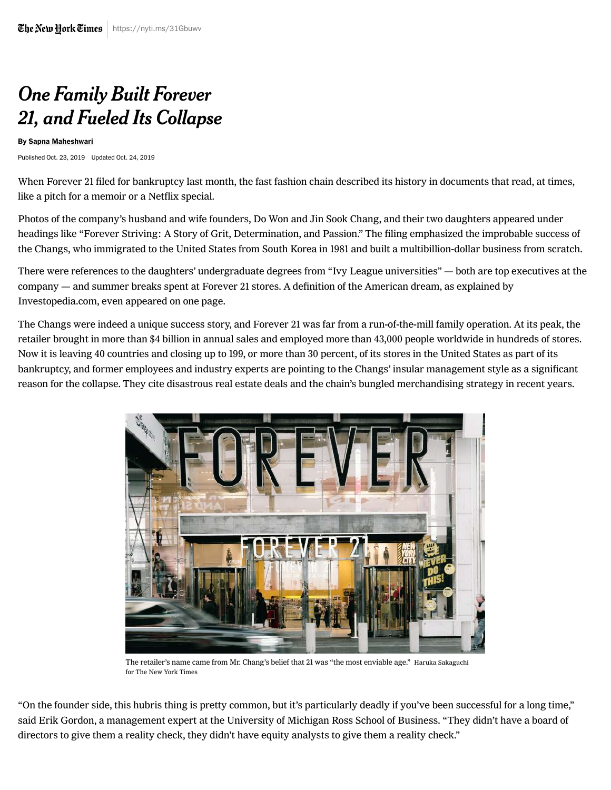## One Family Built Forever 21, and Fueled Its Collapse

## By [Sapna Maheshwari](https://www.nytimes.com/by/sapna-maheshwari)

Published Oct. 23, 2019 Updated Oct. 24, 2019

When Forever 21 filed for bankruptcy last month, the fast fashion chain described its history in documents that read, at times, like a pitch for a memoir or a Netflix special.

Photos of the company's husband and wife founders, Do Won and Jin Sook Chang, and their two daughters appeared under headings like "Forever Striving: A Story of Grit, Determination, and Passion." The filing emphasized the improbable success of the Changs, who immigrated to the United States from South Korea in 1981 and built a multibillion-dollar business from scratch.

There were references to the daughters' undergraduate degrees from "Ivy League universities" — both are top executives at the company — and summer breaks spent at Forever 21 stores. A definition of the American dream, as explained by Investopedia.com, even appeared on one page.

The Changs were indeed a unique success story, and Forever 21 was far from a run-of-the-mill family operation. At its peak, the retailer brought in more than \$4 billion in annual sales and employed more than 43,000 people worldwide in hundreds of stores. Now it is leaving 40 countries and closing up to 199, or more than 30 percent, of its stores in the United States as part of its [bankruptcy, and former employees and industry experts are pointing to the Changs' insular management style as a signifi](https://www.nytimes.com/2019/09/29/business/forever-21-bankruptcy.html)cant reason for the collapse. They cite disastrous real estate deals and the chain's bungled merchandising strategy in recent years.



The retailer's name came from Mr. Chang's belief that 21 was "the most enviable age." Haruka Sakaguchi for The New York Times

"On the founder side, this hubris thing is pretty common, but it's particularly deadly if you've been successful for a long time," said Erik Gordon, a management expert at the University of Michigan Ross School of Business. "They didn't have a board of directors to give them a reality check, they didn't have equity analysts to give them a reality check."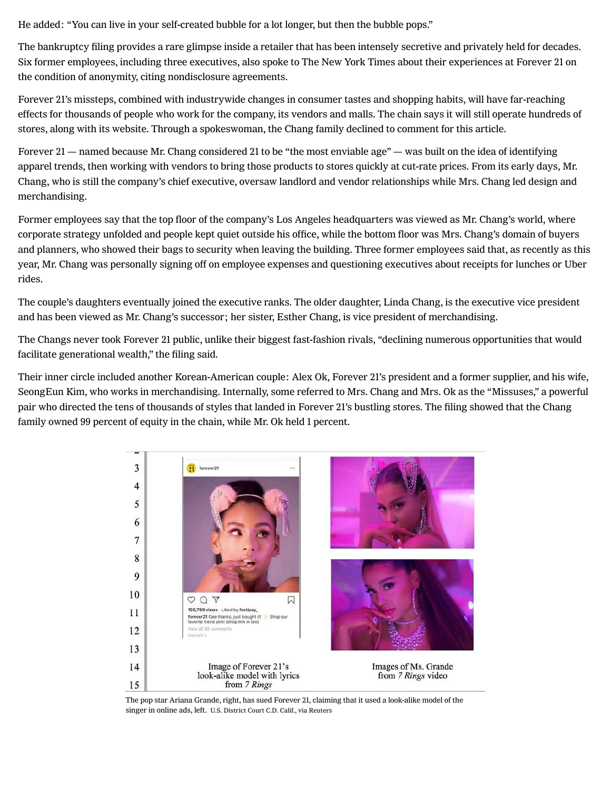He added: "You can live in your self-created bubble for a lot longer, but then the bubble pops."

The bankruptcy filing provides a rare glimpse inside a retailer that has been intensely secretive and privately held for decades. Six former employees, including three executives, also spoke to The New York Times about their experiences at Forever 21 on the condition of anonymity, citing nondisclosure agreements.

Forever 21's missteps, combined with industrywide changes in consumer tastes and shopping habits, will have far-reaching effects for thousands of people who work for the company, its vendors and malls. The chain says it will still operate hundreds of stores, along with its website. Through a spokeswoman, the Chang family declined to comment for this article.

Forever 21 — named because Mr. Chang considered 21 to be "the most enviable age" — was built on the idea of identifying apparel trends, then working with vendors to bring those products to stores quickly at cut-rate prices. From its early days, Mr. Chang, who is still the company's chief executive, oversaw landlord and vendor relationships while Mrs. Chang led design and merchandising.

Former employees say that the top floor of the company's Los Angeles headquarters was viewed as Mr. Chang's world, where corporate strategy unfolded and people kept quiet outside his office, while the bottom floor was Mrs. Chang's domain of buyers and planners, who showed their bags to security when leaving the building. Three former employees said that, as recently as this year, Mr. Chang was personally signing off on employee expenses and questioning executives about receipts for lunches or Uber rides.

The couple's daughters eventually joined the executive ranks. The older daughter, Linda Chang, is the executive vice president and has been viewed as Mr. Chang's successor; her sister, Esther Chang, is vice president of merchandising.

The Changs never took Forever 21 public, unlike their biggest fast-fashion rivals, "declining numerous opportunities that would facilitate generational wealth," the filing said.

Their inner circle included another Korean-American couple: Alex Ok, Forever 21's president and a former supplier, and his wife, SeongEun Kim, who works in merchandising. Internally, some referred to Mrs. Chang and Mrs. Ok as the "Missuses," a powerful pair who directed the tens of thousands of styles that landed in Forever 21's bustling stores. The filing showed that the Chang family owned 99 percent of equity in the chain, while Mr. Ok held 1 percent.



The pop star Ariana Grande, right, has sued Forever 21, claiming that it used a look-alike model of the singer in online ads, left. U.S. District Court C.D. Calif., via Reuters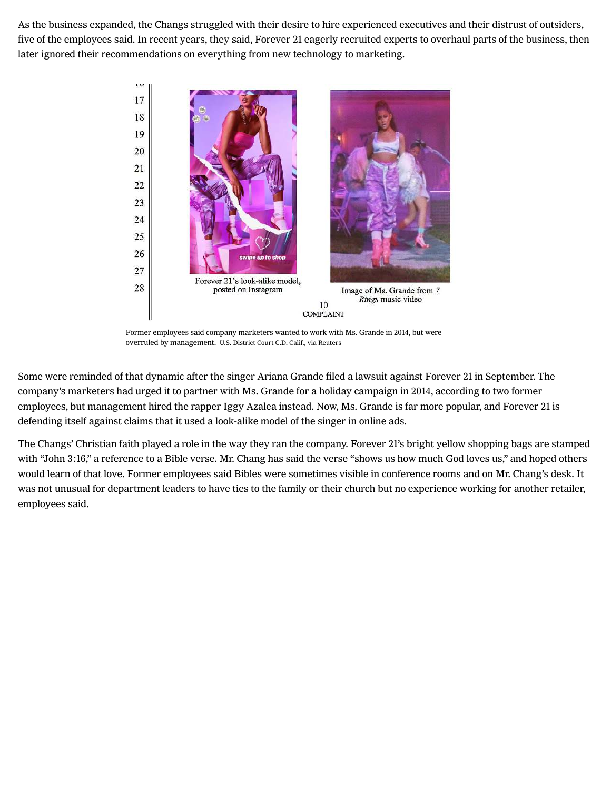As the business expanded, the Changs struggled with their desire to hire experienced executives and their distrust of outsiders, five of the employees said. In recent years, they said, Forever 21 eagerly recruited experts to overhaul parts of the business, then later ignored their recommendations on everything from new technology to marketing.



Former employees said company marketers wanted to work with Ms. Grande in 2014, but were overruled by management. U.S. District Court C.D. Calif., via Reuters

Some were reminded of that dynamic after the singer Ariana Grande [filed a lawsuit](https://www.nytimes.com/2019/09/03/arts/music/ariana-grande-forever-21.html) against Forever 21 in September. The company's marketers had urged it to partner with Ms. Grande for a holiday campaign in 2014, according to two former employees, but management hired the rapper Iggy Azalea instead. Now, Ms. Grande is far more popular, and Forever 21 is [defending itself](https://www.nytimes.com/2019/09/03/arts/music/ariana-grande-forever-21.html) against claims that it used a look-alike model of the singer in online ads.

The Changs' Christian faith played a role in the way they ran the company. Forever 21's bright yellow shopping bags are stamped with "John 3:16," a reference to a Bible verse. Mr. Chang has said the verse "shows us how much God loves us," and hoped others would learn of that love. Former employees said Bibles were sometimes visible in conference rooms and on Mr. Chang's desk. It was not unusual for department leaders to have ties to the family or their church but no experience working for another retailer, employees said.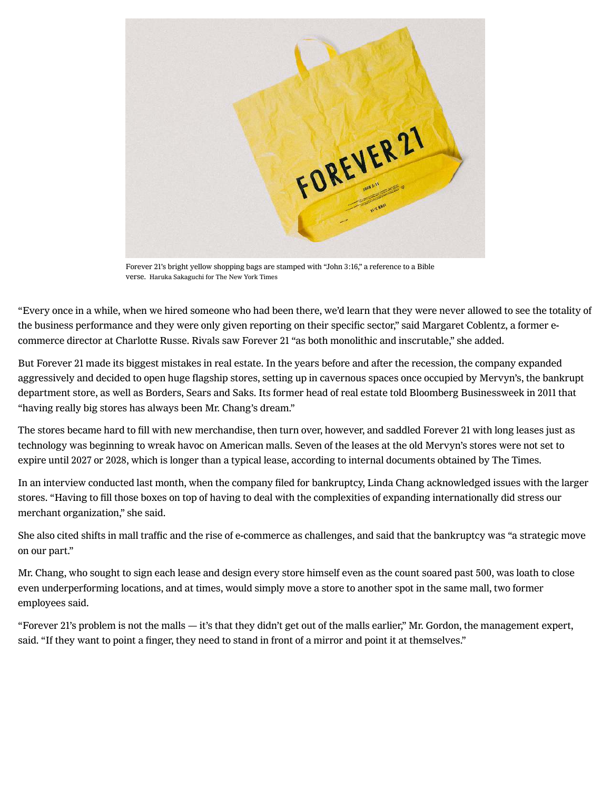

Forever 21's bright yellow shopping bags are stamped with "John 3:16," a reference to a Bible verse. Haruka Sakaguchi for The New York Times

"Every once in a while, when we hired someone who had been there, we'd learn that they were never allowed to see the totality of the business performance and they were only given reporting on their specific sector," said Margaret Coblentz, a former ecommerce director at Charlotte Russe. Rivals saw Forever 21 "as both monolithic and inscrutable," she added.

But Forever 21 made its biggest mistakes in real estate. In the years before and after the recession, the company expanded aggressively and decided to open huge flagship stores, setting up in cavernous spaces once occupied by Mervyn's, the bankrupt department store, as well as Borders, Sears and Saks. Its former head of real estate [told Bloomberg Businessweek](https://webcache.googleusercontent.com/search?q=cache:MSSRC9kqzfoJ:https://www.bloomberg.com/news/articles/2011-01-20/forever-21s-fast-and-loose-fashion-empire+&cd=1&hl=en&ct=clnk&gl=us) in 2011 that "having really big stores has always been Mr. Chang's dream."

The stores became hard to fill with new merchandise, then turn over, however, and saddled Forever 21 with long leases just as technology was beginning to wreak havoc on American malls. Seven of the leases at the old Mervyn's stores were not set to expire until 2027 or 2028, which is longer than a typical lease, according to internal documents obtained by The Times.

In an interview conducted last month, when the company filed for bankruptcy, Linda Chang acknowledged issues with the larger stores. "Having to fill those boxes on top of having to deal with the complexities of expanding internationally did stress our merchant organization," she said.

She also cited shifts in mall traffic and the rise of e-commerce as challenges, and said that the bankruptcy was "a strategic move on our part."

Mr. Chang, who sought to sign each lease and design every store himself even as the count soared past 500, was loath to close even underperforming locations, and at times, would simply move a store to another spot in the same mall, two former employees said.

"Forever 21's problem is not the malls — it's that they didn't get out of the malls earlier," Mr. Gordon, the management expert, said. "If they want to point a finger, they need to stand in front of a mirror and point it at themselves."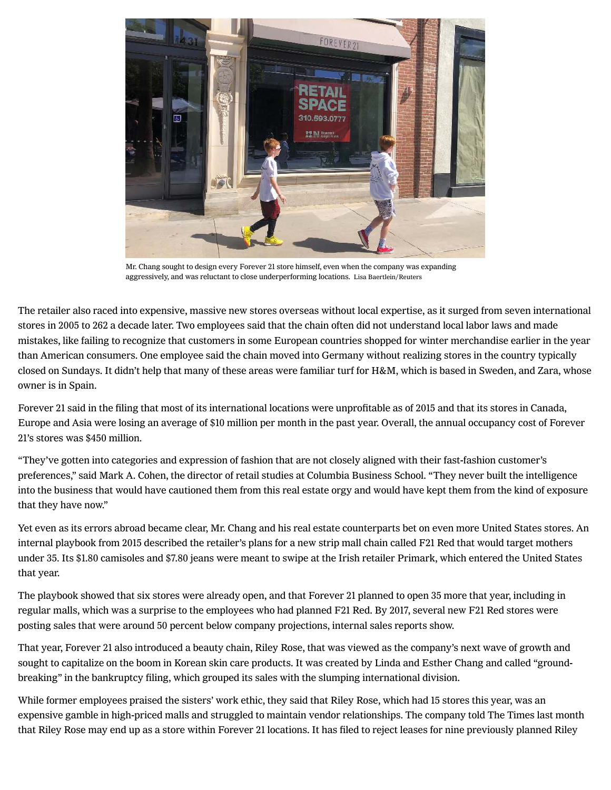

Mr. Chang sought to design every Forever 21 store himself, even when the company was expanding aggressively, and was reluctant to close underperforming locations. Lisa Baertlein/Reuters

The retailer also raced into expensive, massive new stores overseas without local expertise, as it surged from seven international stores in 2005 to 262 a decade later. Two employees said that the chain often did not understand local labor laws and made mistakes, like failing to recognize that customers in some European countries shopped for winter merchandise earlier in the year than American consumers. One employee said the chain moved into Germany without realizing stores in the country typically closed on Sundays. It didn't help that many of these areas were familiar turf for H&M, which is based in Sweden, and Zara, whose owner is in Spain.

Forever 21 said in the filing that most of its international locations were unprofitable as of 2015 and that its stores in Canada, Europe and Asia were losing an average of \$10 million per month in the past year. Overall, the annual occupancy cost of Forever 21's stores was \$450 million.

"They've gotten into categories and expression of fashion that are not closely aligned with their fast-fashion customer's preferences," said Mark A. Cohen, the director of retail studies at Columbia Business School. "They never built the intelligence into the business that would have cautioned them from this real estate orgy and would have kept them from the kind of exposure that they have now."

Yet even as its errors abroad became clear, Mr. Chang and his real estate counterparts bet on even more United States stores. An internal playbook from 2015 described the retailer's plans for a new strip mall chain called F21 Red that would target mothers under 35. Its \$1.80 camisoles and \$7.80 jeans were meant to swipe at the Irish retailer Primark, which entered the United States that year.

The playbook showed that six stores were already open, and that Forever 21 planned to open 35 more that year, including in regular malls, which was a surprise to the employees who had planned F21 Red. By 2017, several new F21 Red stores were posting sales that were around 50 percent below company projections, internal sales reports show.

That year, Forever 21 also introduced a beauty chain, Riley Rose, that was viewed as the company's next wave of growth and sought to capitalize on the boom in Korean skin care products. It was created by Linda and Esther Chang and called "groundbreaking" in the bankruptcy filing, which grouped its sales with the slumping international division.

While former employees praised the sisters' work ethic, they said that Riley Rose, which had 15 stores this year, was an expensive gamble in high-priced malls and struggled to maintain vendor relationships. The company told The Times last month that Riley Rose may end up as a store within Forever 21 locations. It has filed to reject leases for nine previously planned Riley